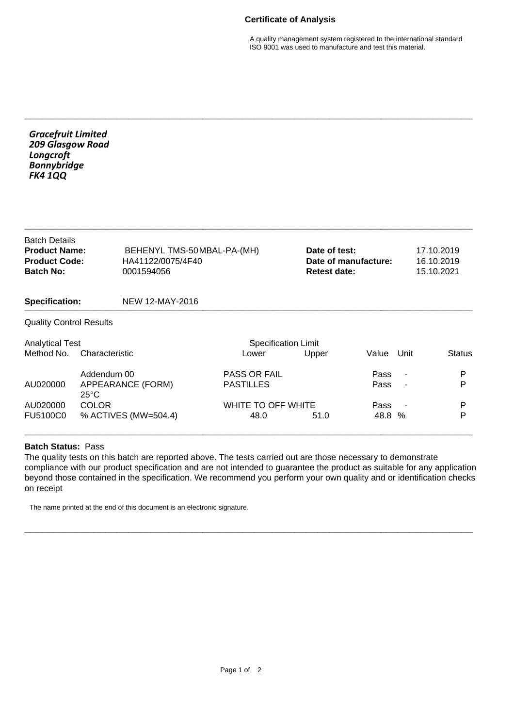## **Certificate of Analysis**

A quality management system registered to the international standard ISO 9001 was used to manufacture and test this material.

| <b>Gracefruit Limited</b><br>209 Glasgow Road<br>Longcroft<br><b>Bonnybridge</b><br><b>FK4 1QQ</b> |                                                    |                                                               |                                     |                                                              |              |                |                                        |  |
|----------------------------------------------------------------------------------------------------|----------------------------------------------------|---------------------------------------------------------------|-------------------------------------|--------------------------------------------------------------|--------------|----------------|----------------------------------------|--|
| <b>Batch Details</b><br><b>Product Name:</b><br><b>Product Code:</b><br><b>Batch No:</b>           |                                                    | BEHENYL TMS-50MBAL-PA-(MH)<br>HA41122/0075/4F40<br>0001594056 |                                     | Date of test:<br>Date of manufacture:<br><b>Retest date:</b> |              |                | 17.10.2019<br>16.10.2019<br>15.10.2021 |  |
| <b>Specification:</b>                                                                              |                                                    | NEW 12-MAY-2016                                               |                                     |                                                              |              |                |                                        |  |
| <b>Quality Control Results</b>                                                                     |                                                    |                                                               |                                     |                                                              |              |                |                                        |  |
| <b>Analytical Test</b><br>Method No.<br>Characteristic                                             |                                                    |                                                               | <b>Specification Limit</b><br>Lower | Upper                                                        | Value        | Unit           | <b>Status</b>                          |  |
| AU020000                                                                                           | Addendum 00<br>APPEARANCE (FORM)<br>$25^{\circ}$ C |                                                               | PASS OR FAIL<br><b>PASTILLES</b>    |                                                              | Pass<br>Pass | $\blacksquare$ | P<br>P                                 |  |
| AU020000<br>FU5100C0                                                                               | <b>COLOR</b><br>% ACTIVES (MW=504.4)               |                                                               | WHITE TO OFF WHITE<br>48.0          | 51.0                                                         | Pass<br>48.8 | %              | P<br>P                                 |  |

**\_\_\_\_\_\_\_\_\_\_\_\_\_\_\_\_\_\_\_\_\_\_\_\_\_\_\_\_\_\_\_\_\_\_\_\_\_\_\_\_\_\_\_\_\_\_\_\_\_\_\_\_\_\_\_\_\_\_\_\_\_\_\_\_\_\_\_\_\_\_\_\_\_\_\_\_\_\_**

## **Batch Status:** Pass

The quality tests on this batch are reported above. The tests carried out are those necessary to demonstrate compliance with our product specification and are not intended to guarantee the product as suitable for any application beyond those contained in the specification. We recommend you perform your own quality and or identification checks on receipt

**\_\_\_\_\_\_\_\_\_\_\_\_\_\_\_\_\_\_\_\_\_\_\_\_\_\_\_\_\_\_\_\_\_\_\_\_\_\_\_\_\_\_\_\_\_\_\_\_\_\_\_\_\_\_\_\_\_\_\_\_\_\_\_\_\_\_\_\_\_\_\_\_\_\_\_\_\_\_**

The name printed at the end of this document is an electronic signature.